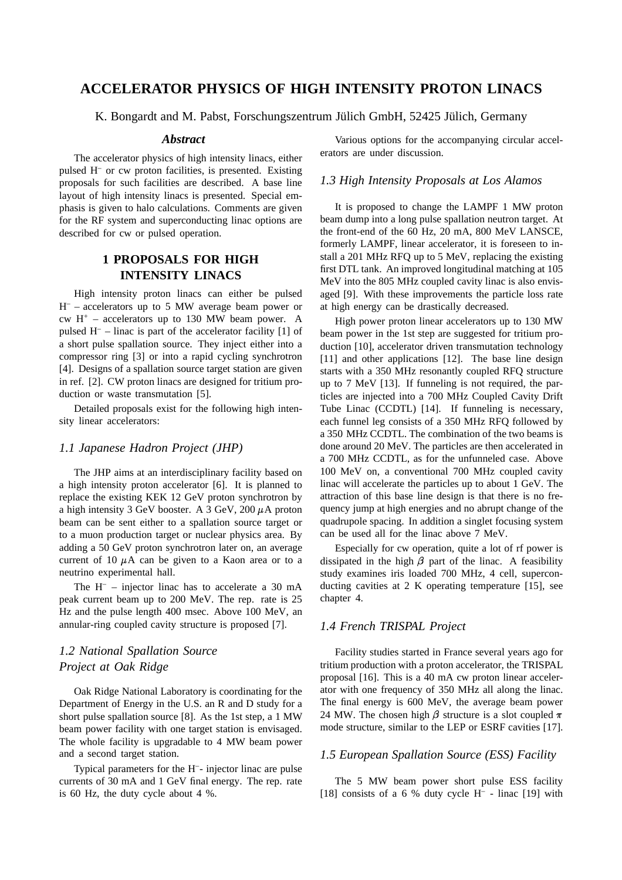# **ACCELERATOR PHYSICS OF HIGH INTENSITY PROTON LINACS**

K. Bongardt and M. Pabst, Forschungszentrum Jülich GmbH, 52425 Jülich, Germany

#### *Abstract*

The accelerator physics of high intensity linacs, either pulsed H– or cw proton facilities, is presented. Existing proposals for such facilities are described. A base line layout of high intensity linacs is presented. Special emphasis is given to halo calculations. Comments are given for the RF system and superconducting linac options are described for cw or pulsed operation.

# **1 PROPOSALS FOR HIGH INTENSITY LINACS**

High intensity proton linacs can either be pulsed  $H^-$  – accelerators up to 5 MW average beam power or cw  $H^+$  – accelerators up to 130 MW beam power. A pulsed  $H^-$  – linac is part of the accelerator facility [1] of a short pulse spallation source. They inject either into a compressor ring [3] or into a rapid cycling synchrotron [4]. Designs of a spallation source target station are given in ref. [2]. CW proton linacs are designed for tritium production or waste transmutation [5].

Detailed proposals exist for the following high intensity linear accelerators:

#### *1.1 Japanese Hadron Project (JHP)*

The JHP aims at an interdisciplinary facility based on a high intensity proton accelerator [6]. It is planned to replace the existing KEK 12 GeV proton synchrotron by a high intensity 3 GeV booster. A 3 GeV, 200  $\mu$ A proton beam can be sent either to a spallation source target or to a muon production target or nuclear physics area. By adding a 50 GeV proton synchrotron later on, an average current of 10  $\mu$ A can be given to a Kaon area or to a neutrino experimental hall.

The  $H^-$  – injector linac has to accelerate a 30 mA peak current beam up to 200 MeV. The rep. rate is 25 Hz and the pulse length 400 msec. Above 100 MeV, an annular-ring coupled cavity structure is proposed [7].

# *1.2 National Spallation Source Project at Oak Ridge*

Oak Ridge National Laboratory is coordinating for the Department of Energy in the U.S. an R and D study for a short pulse spallation source [8]. As the 1st step, a 1 MW beam power facility with one target station is envisaged. The whole facility is upgradable to 4 MW beam power and a second target station.

Typical parameters for the H–- injector linac are pulse currents of 30 mA and 1 GeV final energy. The rep. rate is 60 Hz, the duty cycle about 4 %.

Various options for the accompanying circular accelerators are under discussion.

#### *1.3 High Intensity Proposals at Los Alamos*

It is proposed to change the LAMPF 1 MW proton beam dump into a long pulse spallation neutron target. At the front-end of the 60 Hz, 20 mA, 800 MeV LANSCE, formerly LAMPF, linear accelerator, it is foreseen to install a 201 MHz RFQ up to 5 MeV, replacing the existing first DTL tank. An improved longitudinal matching at 105 MeV into the 805 MHz coupled cavity linac is also envisaged [9]. With these improvements the particle loss rate at high energy can be drastically decreased.

High power proton linear accelerators up to 130 MW beam power in the 1st step are suggested for tritium production [10], accelerator driven transmutation technology [11] and other applications [12]. The base line design starts with a 350 MHz resonantly coupled RFQ structure up to 7 MeV [13]. If funneling is not required, the particles are injected into a 700 MHz Coupled Cavity Drift Tube Linac (CCDTL) [14]. If funneling is necessary, each funnel leg consists of a 350 MHz RFQ followed by a 350 MHz CCDTL. The combination of the two beams is done around 20 MeV. The particles are then accelerated in a 700 MHz CCDTL, as for the unfunneled case. Above 100 MeV on, a conventional 700 MHz coupled cavity linac will accelerate the particles up to about 1 GeV. The attraction of this base line design is that there is no frequency jump at high energies and no abrupt change of the quadrupole spacing. In addition a singlet focusing system can be used all for the linac above 7 MeV.

Especially for cw operation, quite a lot of rf power is dissipated in the high  $\beta$  part of the linac. A feasibility study examines iris loaded 700 MHz, 4 cell, superconducting cavities at 2 K operating temperature [15], see chapter 4.

### *1.4 French TRISPAL Project*

Facility studies started in France several years ago for tritium production with a proton accelerator, the TRISPAL proposal [16]. This is a 40 mA cw proton linear accelerator with one frequency of 350 MHz all along the linac. The final energy is 600 MeV, the average beam power 24 MW. The chosen high  $\beta$  structure is a slot coupled  $\pi$ mode structure, similar to the LEP or ESRF cavities [17].

#### *1.5 European Spallation Source (ESS) Facility*

The 5 MW beam power short pulse ESS facility [18] consists of a 6 % duty cycle  $H^-$  - linac [19] with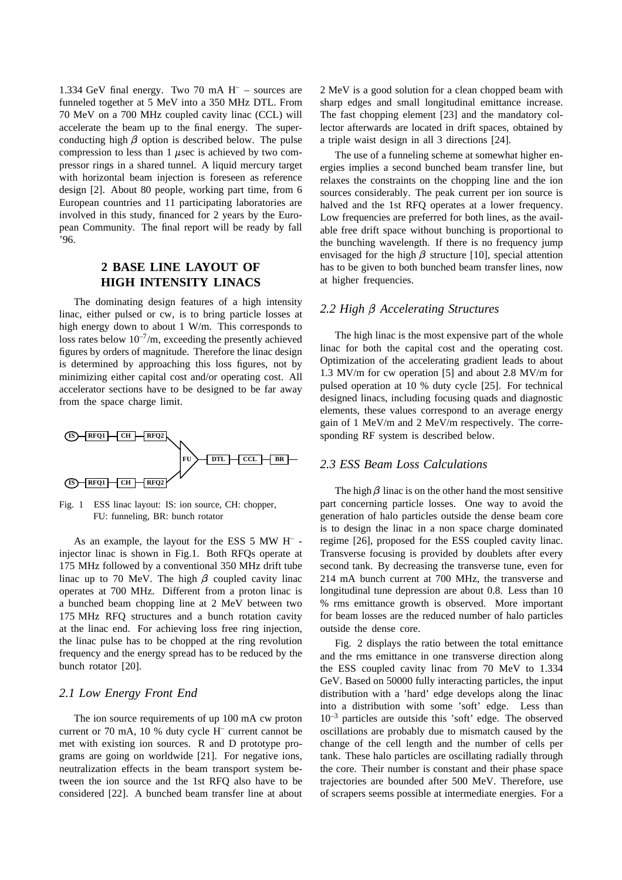1.334 GeV final energy. Two 70 mA  $H^-$  – sources are funneled together at 5 MeV into a 350 MHz DTL. From 70 MeV on a 700 MHz coupled cavity linac (CCL) will accelerate the beam up to the final energy. The superconducting high  $\beta$  option is described below. The pulse compression to less than 1  $\mu$ sec is achieved by two compressor rings in a shared tunnel. A liquid mercury target with horizontal beam injection is foreseen as reference design [2]. About 80 people, working part time, from 6 European countries and 11 participating laboratories are involved in this study, financed for 2 years by the European Community. The final report will be ready by fall '96.

# **2 BASE LINE LAYOUT OF HIGH INTENSITY LINACS**

The dominating design features of a high intensity linac, either pulsed or cw, is to bring particle losses at high energy down to about 1 W/m. This corresponds to loss rates below  $10^{-7}$ /m, exceeding the presently achieved figures by orders of magnitude. Therefore the linac design is determined by approaching this loss figures, not by minimizing either capital cost and/or operating cost. All accelerator sections have to be designed to be far away from the space charge limit.



Fig. 1 ESS linac layout: IS: ion source, CH: chopper, FU: funneling, BR: bunch rotator

As an example, the layout for the ESS 5 MW H– injector linac is shown in Fig.1. Both RFQs operate at 175 MHz followed by a conventional 350 MHz drift tube linac up to 70 MeV. The high  $\beta$  coupled cavity linac operates at 700 MHz. Different from a proton linac is a bunched beam chopping line at 2 MeV between two 175 MHz RFQ structures and a bunch rotation cavity at the linac end. For achieving loss free ring injection, the linac pulse has to be chopped at the ring revolution frequency and the energy spread has to be reduced by the bunch rotator [20].

### *2.1 Low Energy Front End*

The ion source requirements of up 100 mA cw proton current or 70 mA, 10 % duty cycle H– current cannot be met with existing ion sources. R and D prototype programs are going on worldwide [21]. For negative ions, neutralization effects in the beam transport system between the ion source and the 1st RFQ also have to be considered [22]. A bunched beam transfer line at about

2 MeV is a good solution for a clean chopped beam with sharp edges and small longitudinal emittance increase. The fast chopping element [23] and the mandatory collector afterwards are located in drift spaces, obtained by a triple waist design in all 3 directions [24].

The use of a funneling scheme at somewhat higher energies implies a second bunched beam transfer line, but relaxes the constraints on the chopping line and the ion sources considerably. The peak current per ion source is halved and the 1st RFQ operates at a lower frequency. Low frequencies are preferred for both lines, as the available free drift space without bunching is proportional to the bunching wavelength. If there is no frequency jump envisaged for the high  $\beta$  structure [10], special attention has to be given to both bunched beam transfer lines, now at higher frequencies.

# *2.2 High Accelerating Structures*

The high linac is the most expensive part of the whole linac for both the capital cost and the operating cost. Optimization of the accelerating gradient leads to about 1.3 MV/m for cw operation [5] and about 2.8 MV/m for pulsed operation at 10 % duty cycle [25]. For technical designed linacs, including focusing quads and diagnostic elements, these values correspond to an average energy gain of 1 MeV/m and 2 MeV/m respectively. The corresponding RF system is described below.

## *2.3 ESS Beam Loss Calculations*

The high  $\beta$  linac is on the other hand the most sensitive part concerning particle losses. One way to avoid the generation of halo particles outside the dense beam core is to design the linac in a non space charge dominated regime [26], proposed for the ESS coupled cavity linac. Transverse focusing is provided by doublets after every second tank. By decreasing the transverse tune, even for 214 mA bunch current at 700 MHz, the transverse and longitudinal tune depression are about 0.8. Less than 10 % rms emittance growth is observed. More important for beam losses are the reduced number of halo particles outside the dense core.

Fig. 2 displays the ratio between the total emittance and the rms emittance in one transverse direction along the ESS coupled cavity linac from 70 MeV to 1.334 GeV. Based on 50000 fully interacting particles, the input distribution with a 'hard' edge develops along the linac into a distribution with some 'soft' edge. Less than  $10^{-3}$  particles are outside this 'soft' edge. The observed oscillations are probably due to mismatch caused by the change of the cell length and the number of cells per tank. These halo particles are oscillating radially through the core. Their number is constant and their phase space trajectories are bounded after 500 MeV. Therefore, use of scrapers seems possible at intermediate energies. For a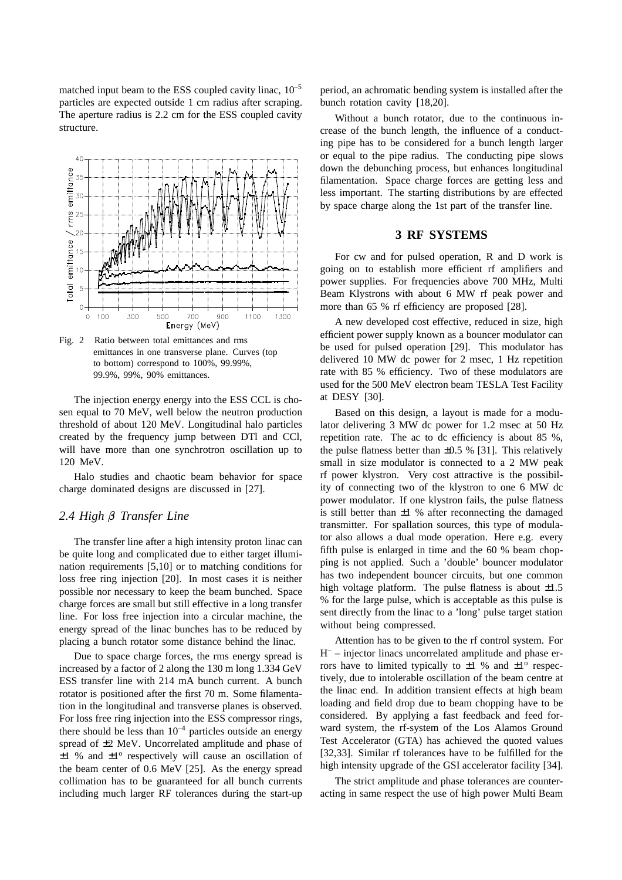matched input beam to the ESS coupled cavity linac,  $10^{-5}$ particles are expected outside 1 cm radius after scraping. The aperture radius is 2.2 cm for the ESS coupled cavity structure.



Fig. 2 Ratio between total emittances and rms emittances in one transverse plane. Curves (top to bottom) correspond to 100%, 99.99%, 99.9%, 99%, 90% emittances.

The injection energy energy into the ESS CCL is chosen equal to 70 MeV, well below the neutron production threshold of about 120 MeV. Longitudinal halo particles created by the frequency jump between DTl and CCl, will have more than one synchrotron oscillation up to 120 MeV.

Halo studies and chaotic beam behavior for space charge dominated designs are discussed in [27].

#### *2.4 High Transfer Line*

The transfer line after a high intensity proton linac can be quite long and complicated due to either target illumination requirements [5,10] or to matching conditions for loss free ring injection [20]. In most cases it is neither possible nor necessary to keep the beam bunched. Space charge forces are small but still effective in a long transfer line. For loss free injection into a circular machine, the energy spread of the linac bunches has to be reduced by placing a bunch rotator some distance behind the linac.

Due to space charge forces, the rms energy spread is increased by a factor of 2 along the 130 m long 1.334 GeV ESS transfer line with 214 mA bunch current. A bunch rotator is positioned after the first 70 m. Some filamentation in the longitudinal and transverse planes is observed. For loss free ring injection into the ESS compressor rings, there should be less than  $10^{-4}$  particles outside an energy spread of ±2 MeV. Uncorrelated amplitude and phase of  $\pm 1$  % and  $\pm 1^{\circ}$  respectively will cause an oscillation of the beam center of 0.6 MeV [25]. As the energy spread collimation has to be guaranteed for all bunch currents including much larger RF tolerances during the start-up period, an achromatic bending system is installed after the bunch rotation cavity [18,20].

Without a bunch rotator, due to the continuous increase of the bunch length, the influence of a conducting pipe has to be considered for a bunch length larger or equal to the pipe radius. The conducting pipe slows down the debunching process, but enhances longitudinal filamentation. Space charge forces are getting less and less important. The starting distributions by are effected by space charge along the 1st part of the transfer line.

### **3 RF SYSTEMS**

For cw and for pulsed operation, R and D work is going on to establish more efficient rf amplifiers and power supplies. For frequencies above 700 MHz, Multi Beam Klystrons with about 6 MW rf peak power and more than 65 % rf efficiency are proposed [28].

A new developed cost effective, reduced in size, high efficient power supply known as a bouncer modulator can be used for pulsed operation [29]. This modulator has delivered 10 MW dc power for 2 msec, 1 Hz repetition rate with 85 % efficiency. Two of these modulators are used for the 500 MeV electron beam TESLA Test Facility at DESY [30].

Based on this design, a layout is made for a modulator delivering 3 MW dc power for 1.2 msec at 50 Hz repetition rate. The ac to dc efficiency is about 85 %, the pulse flatness better than  $\pm 0.5$  % [31]. This relatively small in size modulator is connected to a 2 MW peak rf power klystron. Very cost attractive is the possibility of connecting two of the klystron to one 6 MW dc power modulator. If one klystron fails, the pulse flatness is still better than  $\pm 1$  % after reconnecting the damaged transmitter. For spallation sources, this type of modulator also allows a dual mode operation. Here e.g. every fifth pulse is enlarged in time and the 60 % beam chopping is not applied. Such a 'double' bouncer modulator has two independent bouncer circuits, but one common high voltage platform. The pulse flatness is about  $\pm 1.5$ % for the large pulse, which is acceptable as this pulse is sent directly from the linac to a 'long' pulse target station without being compressed.

Attention has to be given to the rf control system. For H– – injector linacs uncorrelated amplitude and phase errors have to limited typically to  $\pm 1$  % and  $\pm 1^{\circ}$  respectively, due to intolerable oscillation of the beam centre at the linac end. In addition transient effects at high beam loading and field drop due to beam chopping have to be considered. By applying a fast feedback and feed forward system, the rf-system of the Los Alamos Ground Test Accelerator (GTA) has achieved the quoted values [32,33]. Similar rf tolerances have to be fulfilled for the high intensity upgrade of the GSI accelerator facility [34].

The strict amplitude and phase tolerances are counteracting in same respect the use of high power Multi Beam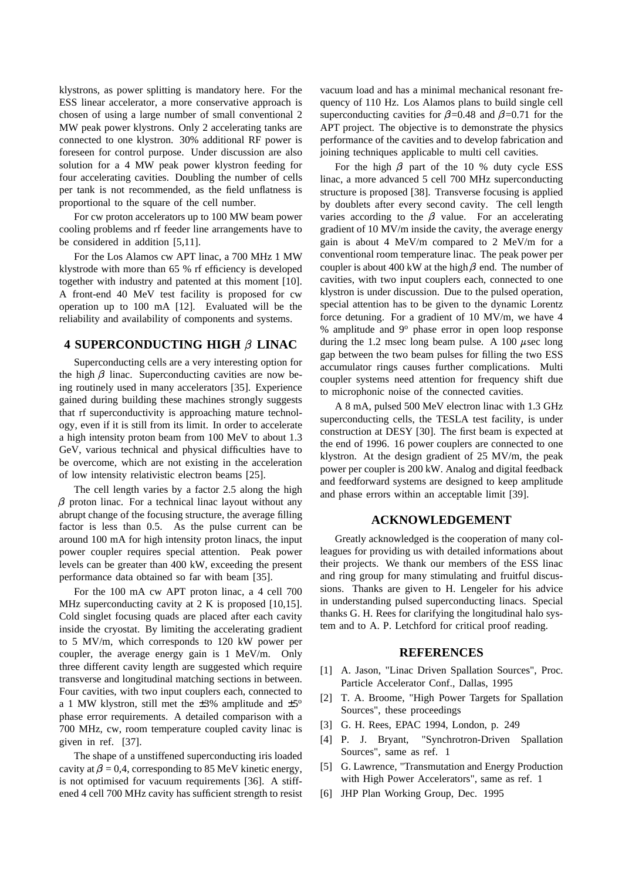klystrons, as power splitting is mandatory here. For the ESS linear accelerator, a more conservative approach is chosen of using a large number of small conventional 2 MW peak power klystrons. Only 2 accelerating tanks are connected to one klystron. 30% additional RF power is foreseen for control purpose. Under discussion are also solution for a 4 MW peak power klystron feeding for four accelerating cavities. Doubling the number of cells per tank is not recommended, as the field unflatness is proportional to the square of the cell number.

For cw proton accelerators up to 100 MW beam power cooling problems and rf feeder line arrangements have to be considered in addition [5,11].

For the Los Alamos cw APT linac, a 700 MHz 1 MW klystrode with more than 65 % rf efficiency is developed together with industry and patented at this moment [10]. A front-end 40 MeV test facility is proposed for cw operation up to 100 mA [12]. Evaluated will be the reliability and availability of components and systems.

### **4 SUPERCONDUCTING HIGH LINAC**

Superconducting cells are a very interesting option for the high  $\beta$  linac. Superconducting cavities are now being routinely used in many accelerators [35]. Experience gained during building these machines strongly suggests that rf superconductivity is approaching mature technology, even if it is still from its limit. In order to accelerate a high intensity proton beam from 100 MeV to about 1.3 GeV, various technical and physical difficulties have to be overcome, which are not existing in the acceleration of low intensity relativistic electron beams [25].

The cell length varies by a factor 2.5 along the high  $\beta$  proton linac. For a technical linac layout without any abrupt change of the focusing structure, the average filling factor is less than 0.5. As the pulse current can be around 100 mA for high intensity proton linacs, the input power coupler requires special attention. Peak power levels can be greater than 400 kW, exceeding the present performance data obtained so far with beam [35].

For the 100 mA cw APT proton linac, a 4 cell 700 MHz superconducting cavity at 2 K is proposed [10,15]. Cold singlet focusing quads are placed after each cavity inside the cryostat. By limiting the accelerating gradient to 5 MV/m, which corresponds to 120 kW power per coupler, the average energy gain is 1 MeV/m. Only three different cavity length are suggested which require transverse and longitudinal matching sections in between. Four cavities, with two input couplers each, connected to a 1 MW klystron, still met the  $\pm 3\%$  amplitude and  $\pm 5^\circ$ phase error requirements. A detailed comparison with a 700 MHz, cw, room temperature coupled cavity linac is given in ref. [37].

The shape of a unstiffened superconducting iris loaded cavity at  $\beta$  = 0.4, corresponding to 85 MeV kinetic energy. is not optimised for vacuum requirements [36]. A stiffened 4 cell 700 MHz cavity has sufficient strength to resist vacuum load and has a minimal mechanical resonant frequency of 110 Hz. Los Alamos plans to build single cell superconducting cavities for  $\beta$ =0.48 and  $\beta$ =0.71 for the APT project. The objective is to demonstrate the physics performance of the cavities and to develop fabrication and joining techniques applicable to multi cell cavities.

For the high  $\beta$  part of the 10 % duty cycle ESS linac, a more advanced 5 cell 700 MHz superconducting structure is proposed [38]. Transverse focusing is applied by doublets after every second cavity. The cell length varies according to the  $\beta$  value. For an accelerating gradient of 10 MV/m inside the cavity, the average energy gain is about 4 MeV/m compared to 2 MeV/m for a conventional room temperature linac. The peak power per coupler is about 400 kW at the high  $\beta$  end. The number of cavities, with two input couplers each, connected to one klystron is under discussion. Due to the pulsed operation, special attention has to be given to the dynamic Lorentz force detuning. For a gradient of 10 MV/m, we have 4 % amplitude and 9<sup>o</sup> phase error in open loop response during the 1.2 msec long beam pulse. A 100  $\mu$ sec long gap between the two beam pulses for filling the two ESS accumulator rings causes further complications. Multi coupler systems need attention for frequency shift due to microphonic noise of the connected cavities.

A 8 mA, pulsed 500 MeV electron linac with 1.3 GHz superconducting cells, the TESLA test facility, is under construction at DESY [30]. The first beam is expected at the end of 1996. 16 power couplers are connected to one klystron. At the design gradient of 25 MV/m, the peak power per coupler is 200 kW. Analog and digital feedback and feedforward systems are designed to keep amplitude and phase errors within an acceptable limit [39].

### **ACKNOWLEDGEMENT**

Greatly acknowledged is the cooperation of many colleagues for providing us with detailed informations about their projects. We thank our members of the ESS linac and ring group for many stimulating and fruitful discussions. Thanks are given to H. Lengeler for his advice in understanding pulsed superconducting linacs. Special thanks G. H. Rees for clarifying the longitudinal halo system and to A. P. Letchford for critical proof reading.

#### **REFERENCES**

- [1] A. Jason, "Linac Driven Spallation Sources", Proc. Particle Accelerator Conf., Dallas, 1995
- [2] T. A. Broome, "High Power Targets for Spallation Sources", these proceedings
- [3] G. H. Rees, EPAC 1994, London, p. 249
- [4] P. J. Bryant, "Synchrotron-Driven Spallation Sources", same as ref. 1
- [5] G. Lawrence, "Transmutation and Energy Production with High Power Accelerators", same as ref. 1
- [6] JHP Plan Working Group, Dec. 1995